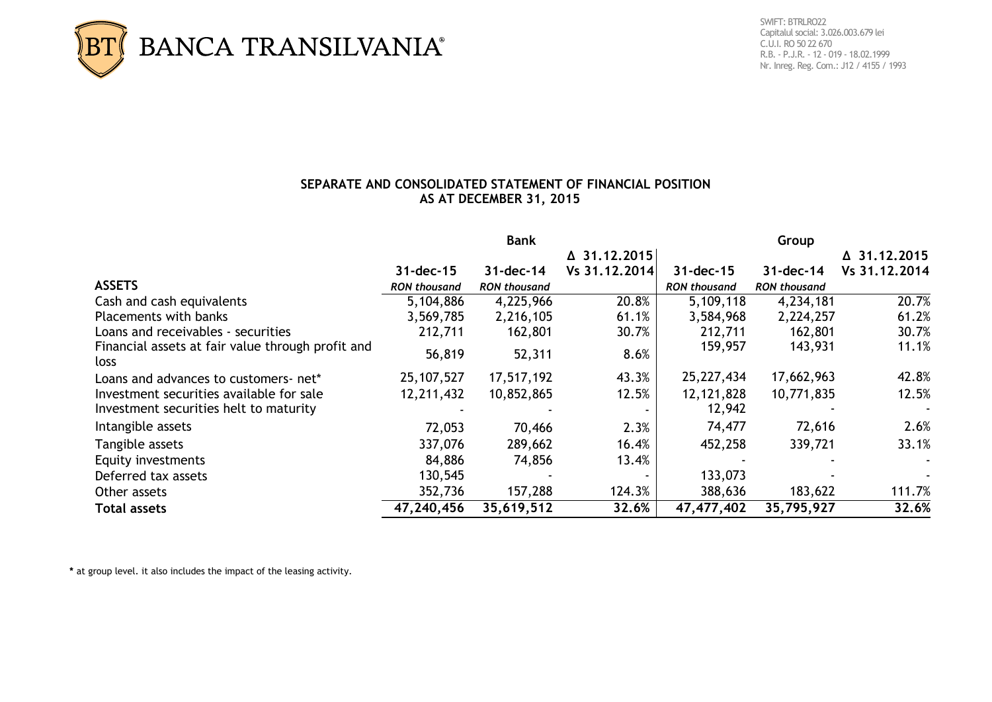

 Capitalul social: 3.026.003.679 lei C.U.I. RO 50 22 670 R.B. - P.J.R. - 12 - 019 - 18.02.1999 Nr. Inreg. Reg. Com.: J12 / 4155 / 1993

## **SEPARATE AND CONSOLIDATED STATEMENT OF FINANCIAL POSITION AS AT DECEMBER 31, 2015**

|                                                           | <b>Bank</b>         |                     |               | Group               |                     |               |  |
|-----------------------------------------------------------|---------------------|---------------------|---------------|---------------------|---------------------|---------------|--|
|                                                           | △ 31.12.2015        |                     |               | △ 31.12.2015        |                     |               |  |
|                                                           | $31$ -dec-15        | $31 - dec - 14$     | Vs 31.12.2014 | $31$ -dec-15        | $31$ -dec-14        | Vs 31.12.2014 |  |
| <b>ASSETS</b>                                             | <b>RON thousand</b> | <b>RON thousand</b> |               | <b>RON thousand</b> | <b>RON thousand</b> |               |  |
| Cash and cash equivalents                                 | 5,104,886           | 4,225,966           | 20.8%         | 5,109,118           | 4,234,181           | 20.7%         |  |
| <b>Placements with banks</b>                              | 3,569,785           | 2,216,105           | 61.1%         | 3,584,968           | 2,224,257           | 61.2%         |  |
| Loans and receivables - securities                        | 212,711             | 162,801             | 30.7%         | 212,711             | 162,801             | 30.7%         |  |
| Financial assets at fair value through profit and<br>loss | 56,819              | 52,311              | 8.6%          | 159,957             | 143,931             | 11.1%         |  |
| Loans and advances to customers- net*                     | 25, 107, 527        | 17,517,192          | 43.3%         | 25,227,434          | 17,662,963          | 42.8%         |  |
| Investment securities available for sale                  | 12,211,432          | 10,852,865          | 12.5%         | 12, 121, 828        | 10,771,835          | 12.5%         |  |
| Investment securities helt to maturity                    |                     |                     |               | 12,942              |                     |               |  |
| Intangible assets                                         | 72,053              | 70,466              | 2.3%          | 74,477              | 72,616              | 2.6%          |  |
| Tangible assets                                           | 337,076             | 289,662             | 16.4%         | 452,258             | 339,721             | 33.1%         |  |
| Equity investments                                        | 84,886              | 74,856              | 13.4%         |                     |                     | $\sim$        |  |
| Deferred tax assets                                       | 130,545             |                     |               | 133,073             |                     |               |  |
| Other assets                                              | 352,736             | 157,288             | 124.3%        | 388,636             | 183,622             | 111.7%        |  |
| <b>Total assets</b>                                       | 47,240,456          | 35,619,512          | 32.6%         | 47,477,402          | 35,795,927          | 32.6%         |  |

**\*** at group level. it also includes the impact of the leasing activity.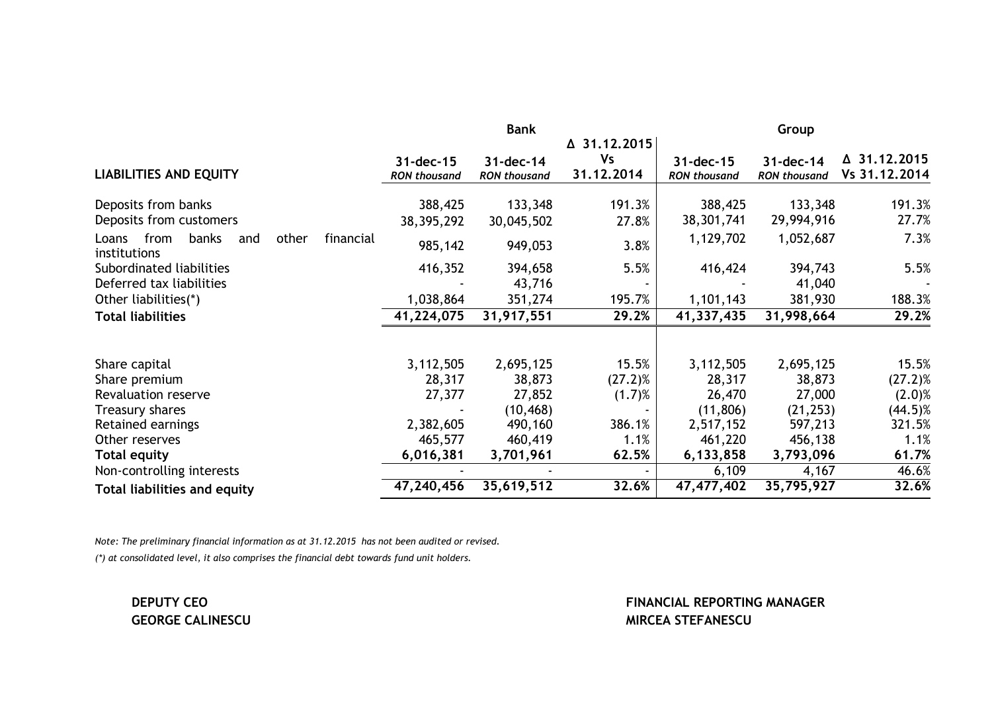|                                                                     | <b>Bank</b>                      |                                  |                                         | Group                            |                                  |                               |  |
|---------------------------------------------------------------------|----------------------------------|----------------------------------|-----------------------------------------|----------------------------------|----------------------------------|-------------------------------|--|
| <b>LIABILITIES AND EQUITY</b>                                       | 31-dec-15<br><b>RON thousand</b> | 31-dec-14<br><b>RON thousand</b> | △ 31.12.2015<br><b>Vs</b><br>31.12.2014 | 31-dec-15<br><b>RON thousand</b> | 31-dec-14<br><b>RON thousand</b> | △ 31.12.2015<br>Vs 31.12.2014 |  |
| Deposits from banks                                                 | 388,425                          | 133,348                          | 191.3%                                  | 388,425                          | 133,348                          | 191.3%                        |  |
| Deposits from customers                                             | 38, 395, 292                     | 30,045,502                       | 27.8%                                   | 38,301,741                       | 29,994,916                       | 27.7%                         |  |
| from<br>banks<br>other<br>financial<br>Loans<br>and<br>institutions | 985,142                          | 949,053                          | 3.8%                                    | 1,129,702                        | 1,052,687                        | 7.3%                          |  |
| Subordinated liabilities                                            | 416,352                          | 394,658                          | 5.5%                                    | 416,424                          | 394,743                          | 5.5%                          |  |
| Deferred tax liabilities                                            |                                  | 43,716                           |                                         |                                  | 41,040                           |                               |  |
| Other liabilities(*)                                                | 1,038,864                        | 351,274                          | 195.7%                                  | 1,101,143                        | 381,930                          | 188.3%                        |  |
| <b>Total liabilities</b>                                            | 41,224,075                       | 31,917,551                       | 29.2%                                   | 41,337,435                       | 31,998,664                       | 29.2%                         |  |
|                                                                     |                                  |                                  |                                         |                                  |                                  |                               |  |
| Share capital                                                       | 3,112,505                        | 2,695,125                        | 15.5%                                   | 3,112,505                        | 2,695,125                        | 15.5%                         |  |
| Share premium                                                       | 28,317                           | 38,873                           | $(27.2)$ %                              | 28,317                           | 38,873                           | $(27.2)$ %                    |  |
| Revaluation reserve                                                 | 27,377                           | 27,852                           | $(1.7)$ %                               | 26,470                           | 27,000                           | $(2.0)$ %                     |  |
| Treasury shares                                                     |                                  | (10, 468)                        |                                         | (11, 806)                        | (21, 253)                        | $(44.5)\%$                    |  |
| Retained earnings                                                   | 2,382,605                        | 490,160                          | 386.1%                                  | 2,517,152                        | 597,213                          | 321.5%                        |  |
| Other reserves                                                      | 465,577                          | 460,419                          | 1.1%                                    | 461,220                          | 456,138                          | 1.1%                          |  |
| <b>Total equity</b>                                                 | 6,016,381                        | 3,701,961                        | 62.5%                                   | 6,133,858                        | 3,793,096                        | 61.7%                         |  |
| Non-controlling interests                                           |                                  |                                  |                                         | 6,109                            | 4,167                            | 46.6%                         |  |
| <b>Total liabilities and equity</b>                                 | 47,240,456                       | 35,619,512                       | 32.6%                                   | 47,477,402                       | 35,795,927                       | 32.6%                         |  |

*Note: The preliminary financial information as at 31.12.2015 has not been audited or revised. (\*) at consolidated level, it also comprises the financial debt towards fund unit holders.*

**DEPUTY CEO FINANCIAL REPORTING MANAGER GEORGE CALINESCU GEORGE CALINESCU MIRCEA STEFANESCU**